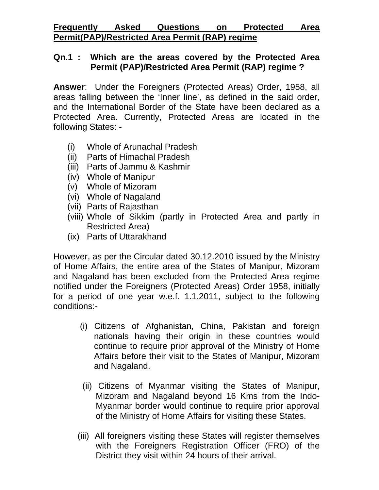# **Frequently Asked Questions on Protected Area Permit(PAP)/Restricted Area Permit (RAP) regime**

## **Qn.1 : Which are the areas covered by the Protected Area Permit (PAP)/Restricted Area Permit (RAP) regime ?**

**Answer**: Under the Foreigners (Protected Areas) Order, 1958, all areas falling between the 'Inner line', as defined in the said order, and the International Border of the State have been declared as a Protected Area. Currently, Protected Areas are located in the following States: -

- (i) Whole of Arunachal Pradesh
- (ii) Parts of Himachal Pradesh
- (iii) Parts of Jammu & Kashmir
- (iv) Whole of Manipur
- (v) Whole of Mizoram
- (vi) Whole of Nagaland
- (vii) Parts of Rajasthan
- (viii) Whole of Sikkim (partly in Protected Area and partly in Restricted Area)
- (ix) Parts of Uttarakhand

However, as per the Circular dated 30.12.2010 issued by the Ministry of Home Affairs, the entire area of the States of Manipur, Mizoram and Nagaland has been excluded from the Protected Area regime notified under the Foreigners (Protected Areas) Order 1958, initially for a period of one year w.e.f. 1.1.2011, subject to the following conditions:-

- (i) Citizens of Afghanistan, China, Pakistan and foreign nationals having their origin in these countries would continue to require prior approval of the Ministry of Home Affairs before their visit to the States of Manipur, Mizoram and Nagaland.
- (ii) Citizens of Myanmar visiting the States of Manipur, Mizoram and Nagaland beyond 16 Kms from the Indo-Myanmar border would continue to require prior approval of the Ministry of Home Affairs for visiting these States.
- (iii) All foreigners visiting these States will register themselves with the Foreigners Registration Officer (FRO) of the District they visit within 24 hours of their arrival.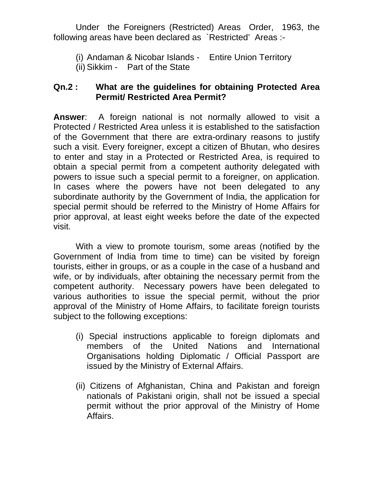Under the Foreigners (Restricted) Areas Order, 1963, the following areas have been declared as `Restricted' Areas :-

(i) Andaman & Nicobar Islands - Entire Union Territory (ii) Sikkim - Part of the State

## **Qn.2 : What are the guidelines for obtaining Protected Area Permit/ Restricted Area Permit?**

**Answer**: A foreign national is not normally allowed to visit a Protected / Restricted Area unless it is established to the satisfaction of the Government that there are extra-ordinary reasons to justify such a visit. Every foreigner, except a citizen of Bhutan, who desires to enter and stay in a Protected or Restricted Area, is required to obtain a special permit from a competent authority delegated with powers to issue such a special permit to a foreigner, on application. In cases where the powers have not been delegated to any subordinate authority by the Government of India, the application for special permit should be referred to the Ministry of Home Affairs for prior approval, at least eight weeks before the date of the expected visit.

With a view to promote tourism, some areas (notified by the Government of India from time to time) can be visited by foreign tourists, either in groups, or as a couple in the case of a husband and wife, or by individuals, after obtaining the necessary permit from the competent authority. Necessary powers have been delegated to various authorities to issue the special permit, without the prior approval of the Ministry of Home Affairs, to facilitate foreign tourists subject to the following exceptions:

- (i) Special instructions applicable to foreign diplomats and members of the United Nations and International Organisations holding Diplomatic / Official Passport are issued by the Ministry of External Affairs.
- (ii) Citizens of Afghanistan, China and Pakistan and foreign nationals of Pakistani origin, shall not be issued a special permit without the prior approval of the Ministry of Home Affairs.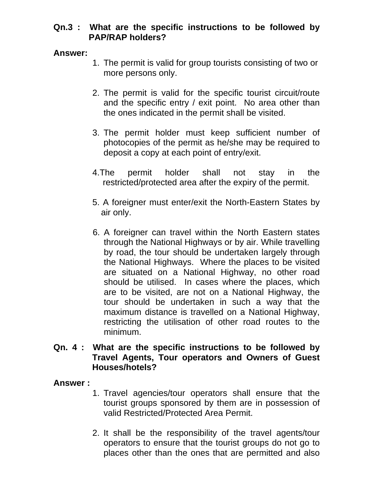# **Qn.3 : What are the specific instructions to be followed by PAP/RAP holders?**

#### **Answer:**

- 1. The permit is valid for group tourists consisting of two or more persons only.
- 2. The permit is valid for the specific tourist circuit/route and the specific entry / exit point. No area other than the ones indicated in the permit shall be visited.
- 3. The permit holder must keep sufficient number of photocopies of the permit as he/she may be required to deposit a copy at each point of entry/exit.
- 4.The permit holder shall not stay in the restricted/protected area after the expiry of the permit.
- 5. A foreigner must enter/exit the North-Eastern States by air only.
- 6. A foreigner can travel within the North Eastern states through the National Highways or by air. While travelling by road, the tour should be undertaken largely through the National Highways. Where the places to be visited are situated on a National Highway, no other road should be utilised. In cases where the places, which are to be visited, are not on a National Highway, the tour should be undertaken in such a way that the maximum distance is travelled on a National Highway, restricting the utilisation of other road routes to the minimum.

### **Qn. 4 : What are the specific instructions to be followed by Travel Agents, Tour operators and Owners of Guest Houses/hotels?**

## **Answer :**

- 1. Travel agencies/tour operators shall ensure that the tourist groups sponsored by them are in possession of valid Restricted/Protected Area Permit.
- 2. It shall be the responsibility of the travel agents/tour operators to ensure that the tourist groups do not go to places other than the ones that are permitted and also